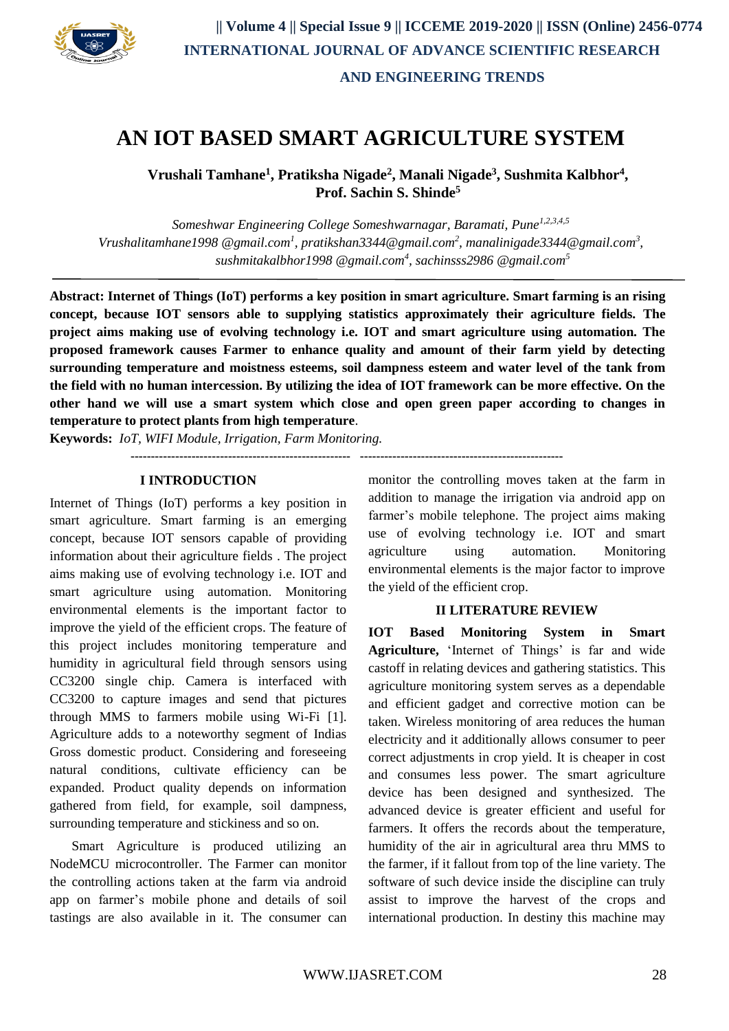

# **AN IOT BASED SMART AGRICULTURE SYSTEM**

**Vrushali Tamhane<sup>1</sup> , Pratiksha Nigade<sup>2</sup> , Manali Nigade<sup>3</sup> , Sushmita Kalbhor<sup>4</sup> , Prof. Sachin S. Shinde<sup>5</sup>**

*Someshwar Engineering College Someshwarnagar, Baramati, Pune1,2,3,4,5 Vrushalitamhane1998 @gmail.com<sup>1</sup> , pratikshan3344@gmail.com<sup>2</sup> , manalinigade3344@gmail.com<sup>3</sup> , sushmitakalbhor1998 @gmail.com<sup>4</sup> , sachinsss2986 @gmail.com<sup>5</sup>*

**Abstract: Internet of Things (IoT) performs a key position in smart agriculture. Smart farming is an rising concept, because IOT sensors able to supplying statistics approximately their agriculture fields. The project aims making use of evolving technology i.e. IOT and smart agriculture using automation. The proposed framework causes Farmer to enhance quality and amount of their farm yield by detecting surrounding temperature and moistness esteems, soil dampness esteem and water level of the tank from the field with no human intercession. By utilizing the idea of IOT framework can be more effective. On the other hand we will use a smart system which close and open green paper according to changes in temperature to protect plants from high temperature**.

**------------------------------------------------------ --------------------------------------------------**

**Keywords:** *IoT, WIFI Module, Irrigation, Farm Monitoring.*

### **I INTRODUCTION**

Internet of Things (IoT) performs a key position in smart agriculture. Smart farming is an emerging concept, because IOT sensors capable of providing information about their agriculture fields . The project aims making use of evolving technology i.e. IOT and smart agriculture using automation. Monitoring environmental elements is the important factor to improve the yield of the efficient crops. The feature of this project includes monitoring temperature and humidity in agricultural field through sensors using CC3200 single chip. Camera is interfaced with CC3200 to capture images and send that pictures through MMS to farmers mobile using Wi-Fi [1]. Agriculture adds to a noteworthy segment of Indias Gross domestic product. Considering and foreseeing natural conditions, cultivate efficiency can be expanded. Product quality depends on information gathered from field, for example, soil dampness, surrounding temperature and stickiness and so on.

Smart Agriculture is produced utilizing an NodeMCU microcontroller. The Farmer can monitor the controlling actions taken at the farm via android app on farmer's mobile phone and details of soil tastings are also available in it. The consumer can monitor the controlling moves taken at the farm in addition to manage the irrigation via android app on farmer's mobile telephone. The project aims making use of evolving technology i.e. IOT and smart agriculture using automation. Monitoring environmental elements is the major factor to improve the yield of the efficient crop.

### **II LITERATURE REVIEW**

**IOT Based Monitoring System in Smart Agriculture,** 'Internet of Things' is far and wide castoff in relating devices and gathering statistics. This agriculture monitoring system serves as a dependable and efficient gadget and corrective motion can be taken. Wireless monitoring of area reduces the human electricity and it additionally allows consumer to peer correct adjustments in crop yield. It is cheaper in cost and consumes less power. The smart agriculture device has been designed and synthesized. The advanced device is greater efficient and useful for farmers. It offers the records about the temperature, humidity of the air in agricultural area thru MMS to the farmer, if it fallout from top of the line variety. The software of such device inside the discipline can truly assist to improve the harvest of the crops and international production. In destiny this machine may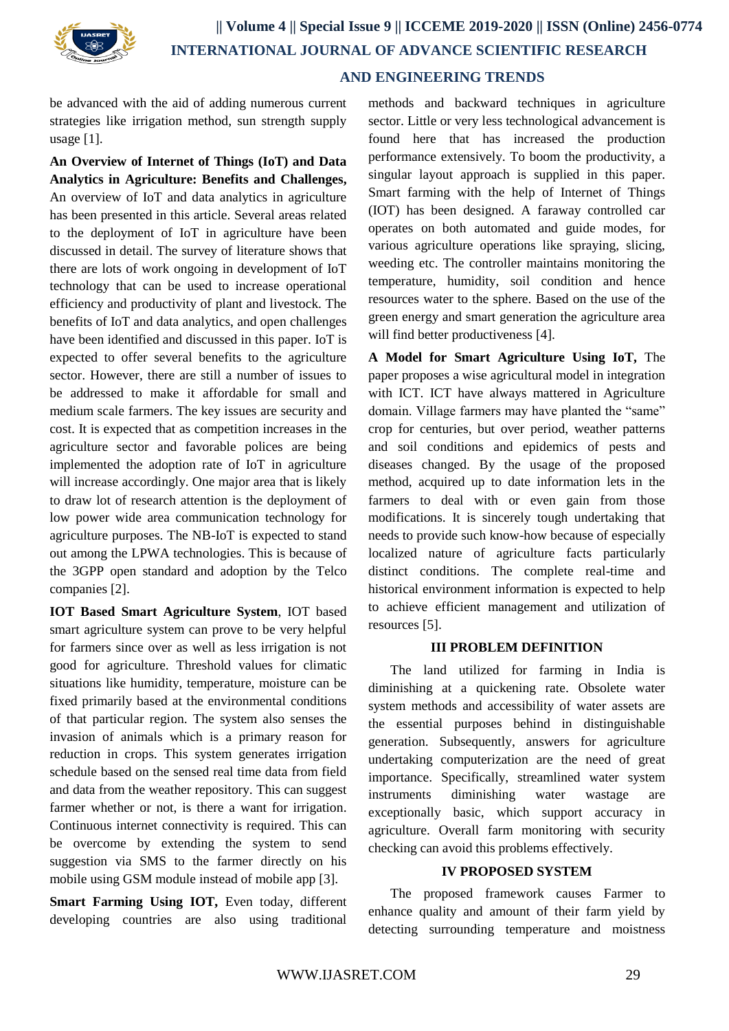

## **AND ENGINEERING TRENDS**

be advanced with the aid of adding numerous current strategies like irrigation method, sun strength supply usage [1].

**An Overview of Internet of Things (IoT) and Data Analytics in Agriculture: Benefits and Challenges,** An overview of IoT and data analytics in agriculture has been presented in this article. Several areas related to the deployment of IoT in agriculture have been discussed in detail. The survey of literature shows that there are lots of work ongoing in development of IoT technology that can be used to increase operational efficiency and productivity of plant and livestock. The benefits of IoT and data analytics, and open challenges have been identified and discussed in this paper. IoT is expected to offer several benefits to the agriculture sector. However, there are still a number of issues to be addressed to make it affordable for small and medium scale farmers. The key issues are security and cost. It is expected that as competition increases in the agriculture sector and favorable polices are being implemented the adoption rate of IoT in agriculture will increase accordingly. One major area that is likely to draw lot of research attention is the deployment of low power wide area communication technology for agriculture purposes. The NB-IoT is expected to stand out among the LPWA technologies. This is because of the 3GPP open standard and adoption by the Telco companies [2].

**IOT Based Smart Agriculture System**, IOT based smart agriculture system can prove to be very helpful for farmers since over as well as less irrigation is not good for agriculture. Threshold values for climatic situations like humidity, temperature, moisture can be fixed primarily based at the environmental conditions of that particular region. The system also senses the invasion of animals which is a primary reason for reduction in crops. This system generates irrigation schedule based on the sensed real time data from field and data from the weather repository. This can suggest farmer whether or not, is there a want for irrigation. Continuous internet connectivity is required. This can be overcome by extending the system to send suggestion via SMS to the farmer directly on his mobile using GSM module instead of mobile app [3].

**Smart Farming Using IOT,** Even today, different developing countries are also using traditional

methods and backward techniques in agriculture sector. Little or very less technological advancement is found here that has increased the production performance extensively. To boom the productivity, a singular layout approach is supplied in this paper. Smart farming with the help of Internet of Things (IOT) has been designed. A faraway controlled car operates on both automated and guide modes, for various agriculture operations like spraying, slicing, weeding etc. The controller maintains monitoring the temperature, humidity, soil condition and hence resources water to the sphere. Based on the use of the green energy and smart generation the agriculture area will find better productiveness [4].

**A Model for Smart Agriculture Using IoT,** The paper proposes a wise agricultural model in integration with ICT. ICT have always mattered in Agriculture domain. Village farmers may have planted the "same" crop for centuries, but over period, weather patterns and soil conditions and epidemics of pests and diseases changed. By the usage of the proposed method, acquired up to date information lets in the farmers to deal with or even gain from those modifications. It is sincerely tough undertaking that needs to provide such know-how because of especially localized nature of agriculture facts particularly distinct conditions. The complete real-time and historical environment information is expected to help to achieve efficient management and utilization of resources [5].

### **III PROBLEM DEFINITION**

The land utilized for farming in India is diminishing at a quickening rate. Obsolete water system methods and accessibility of water assets are the essential purposes behind in distinguishable generation. Subsequently, answers for agriculture undertaking computerization are the need of great importance. Specifically, streamlined water system instruments diminishing water wastage are exceptionally basic, which support accuracy in agriculture. Overall farm monitoring with security checking can avoid this problems effectively.

### **IV PROPOSED SYSTEM**

The proposed framework causes Farmer to enhance quality and amount of their farm yield by detecting surrounding temperature and moistness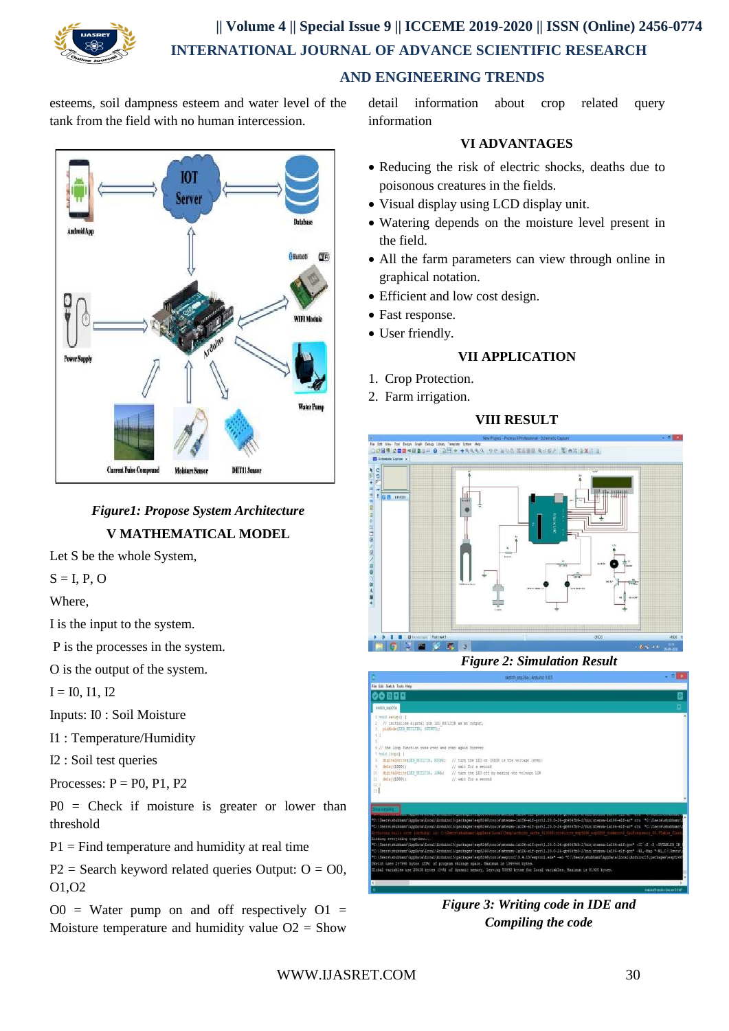

# **|| Volume 4 || Special Issue 9 || ICCEME 2019-2020 || ISSN (Online) 2456-0774 INTERNATIONAL JOURNAL OF ADVANCE SCIENTIFIC RESEARCH**

 **AND ENGINEERING TRENDS**

esteems, soil dampness esteem and water level of the tank from the field with no human intercession.



# *Figure1: Propose System Architecture* **V MATHEMATICAL MODEL**

Let S be the whole System,

 $S = I, P, O$ 

Where,

I is the input to the system.

P is the processes in the system.

O is the output of the system.

 $I = I0, I1, I2$ 

Inputs: I0 : Soil Moisture

I1 : Temperature/Humidity

I2 : Soil test queries

Processes:  $P = P0$ , P1, P2

P0 = Check if moisture is greater or lower than threshold

 $P1 = Find temperature and humidity at real time$ 

 $P2 =$  Search keyword related queries Output:  $Q = Q0$ , O1,O2

 $O0 =$  Water pump on and off respectively  $O1 =$ Moisture temperature and humidity value  $O2 =$  Show

detail information about crop related query information

## **VI ADVANTAGES**

- Reducing the risk of electric shocks, deaths due to poisonous creatures in the fields.
- Visual display using LCD display unit.
- Watering depends on the moisture level present in the field.
- All the farm parameters can view through online in graphical notation.
- Efficient and low cost design.
- Fast response.
- User friendly.

# **VII APPLICATION**

- 1. Crop Protection.
- 2. Farm irrigation.

# **VIII RESULT**



*Figure 2: Simulation Result*



*Figure 3: Writing code in IDE and Compiling the code*